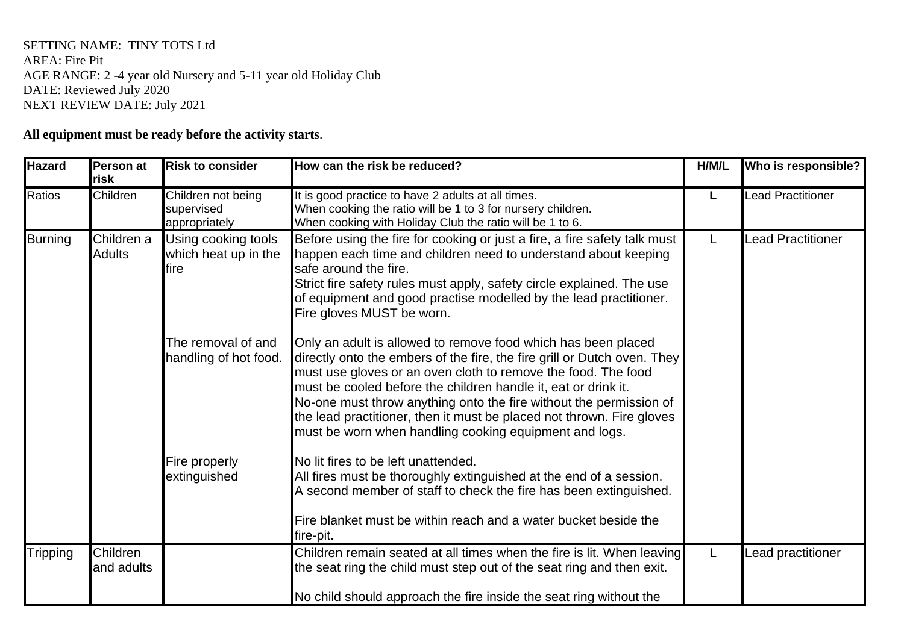## SETTING NAME: TINY TOTS Ltd AREA: Fire Pit AGE RANGE: 2 -4 year old Nursery and 5-11 year old Holiday Club DATE: Reviewed July 2020 NEXT REVIEW DATE: July 2021

## **All equipment must be ready before the activity starts**.

| <b>Hazard</b>   | Person at<br>risk           | <b>Risk to consider</b>                             | How can the risk be reduced?                                                                                                                                                                                                                                                                                                                                                                                                                                                          | H/M/L | Who is responsible?      |
|-----------------|-----------------------------|-----------------------------------------------------|---------------------------------------------------------------------------------------------------------------------------------------------------------------------------------------------------------------------------------------------------------------------------------------------------------------------------------------------------------------------------------------------------------------------------------------------------------------------------------------|-------|--------------------------|
| <b>Ratios</b>   | Children                    | Children not being<br>supervised<br>appropriately   | It is good practice to have 2 adults at all times.<br>When cooking the ratio will be 1 to 3 for nursery children.<br>When cooking with Holiday Club the ratio will be 1 to 6.                                                                                                                                                                                                                                                                                                         |       | <b>Lead Practitioner</b> |
| <b>Burning</b>  | Children a<br><b>Adults</b> | Using cooking tools<br>which heat up in the<br>fire | Before using the fire for cooking or just a fire, a fire safety talk must<br>happen each time and children need to understand about keeping<br>safe around the fire.<br>Strict fire safety rules must apply, safety circle explained. The use<br>of equipment and good practise modelled by the lead practitioner.<br>Fire gloves MUST be worn.                                                                                                                                       |       | <b>Lead Practitioner</b> |
|                 |                             | The removal of and<br>handling of hot food.         | Only an adult is allowed to remove food which has been placed<br>directly onto the embers of the fire, the fire grill or Dutch oven. They<br>must use gloves or an oven cloth to remove the food. The food<br>must be cooled before the children handle it, eat or drink it.<br>No-one must throw anything onto the fire without the permission of<br>the lead practitioner, then it must be placed not thrown. Fire gloves<br>must be worn when handling cooking equipment and logs. |       |                          |
|                 |                             | Fire properly<br>extinguished                       | No lit fires to be left unattended.<br>All fires must be thoroughly extinguished at the end of a session.<br>A second member of staff to check the fire has been extinguished.<br>Fire blanket must be within reach and a water bucket beside the<br>fire-pit.                                                                                                                                                                                                                        |       |                          |
| <b>Tripping</b> | Children<br>and adults      |                                                     | Children remain seated at all times when the fire is lit. When leaving<br>the seat ring the child must step out of the seat ring and then exit.<br>No child should approach the fire inside the seat ring without the                                                                                                                                                                                                                                                                 |       | Lead practitioner        |